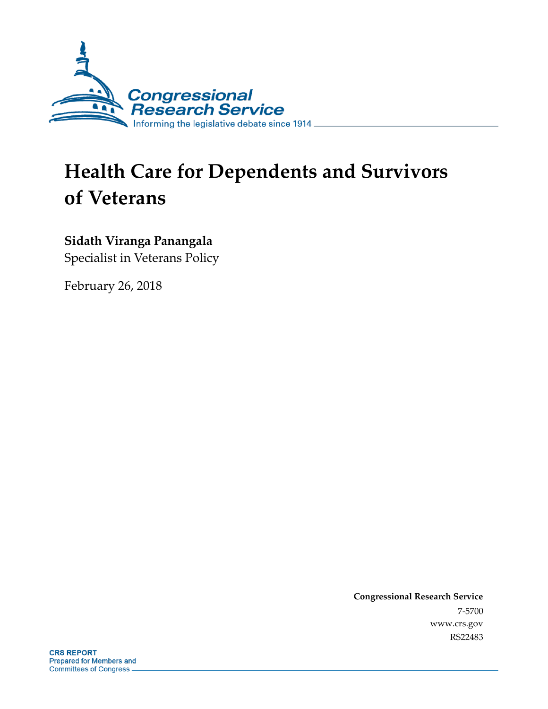

# **Health Care for Dependents and Survivors of Veterans**

### **Sidath Viranga Panangala**

Specialist in Veterans Policy

February 26, 2018

**Congressional Research Service** 7-5700 www.crs.gov RS22483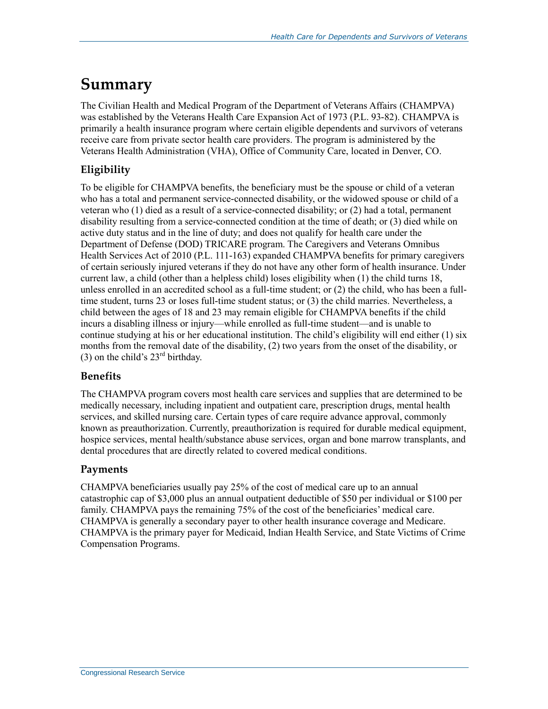## **Summary**

The Civilian Health and Medical Program of the Department of Veterans Affairs (CHAMPVA) was established by the Veterans Health Care Expansion Act of 1973 (P.L. 93-82). CHAMPVA is primarily a health insurance program where certain eligible dependents and survivors of veterans receive care from private sector health care providers. The program is administered by the Veterans Health Administration (VHA), Office of Community Care, located in Denver, CO.

### **Eligibility**

To be eligible for CHAMPVA benefits, the beneficiary must be the spouse or child of a veteran who has a total and permanent service-connected disability, or the widowed spouse or child of a veteran who (1) died as a result of a service-connected disability; or (2) had a total, permanent disability resulting from a service-connected condition at the time of death; or (3) died while on active duty status and in the line of duty; and does not qualify for health care under the Department of Defense (DOD) TRICARE program. The Caregivers and Veterans Omnibus Health Services Act of 2010 (P.L. 111-163) expanded CHAMPVA benefits for primary caregivers of certain seriously injured veterans if they do not have any other form of health insurance. Under current law, a child (other than a helpless child) loses eligibility when (1) the child turns 18, unless enrolled in an accredited school as a full-time student; or (2) the child, who has been a fulltime student, turns 23 or loses full-time student status; or (3) the child marries. Nevertheless, a child between the ages of 18 and 23 may remain eligible for CHAMPVA benefits if the child incurs a disabling illness or injury—while enrolled as full-time student—and is unable to continue studying at his or her educational institution. The child's eligibility will end either (1) six months from the removal date of the disability, (2) two years from the onset of the disability, or (3) on the child's  $23<sup>rd</sup>$  birthday.

#### **Benefits**

The CHAMPVA program covers most health care services and supplies that are determined to be medically necessary, including inpatient and outpatient care, prescription drugs, mental health services, and skilled nursing care. Certain types of care require advance approval, commonly known as preauthorization. Currently, preauthorization is required for durable medical equipment, hospice services, mental health/substance abuse services, organ and bone marrow transplants, and dental procedures that are directly related to covered medical conditions.

#### **Payments**

CHAMPVA beneficiaries usually pay 25% of the cost of medical care up to an annual catastrophic cap of \$3,000 plus an annual outpatient deductible of \$50 per individual or \$100 per family. CHAMPVA pays the remaining 75% of the cost of the beneficiaries' medical care. CHAMPVA is generally a secondary payer to other health insurance coverage and Medicare. CHAMPVA is the primary payer for Medicaid, Indian Health Service, and State Victims of Crime Compensation Programs.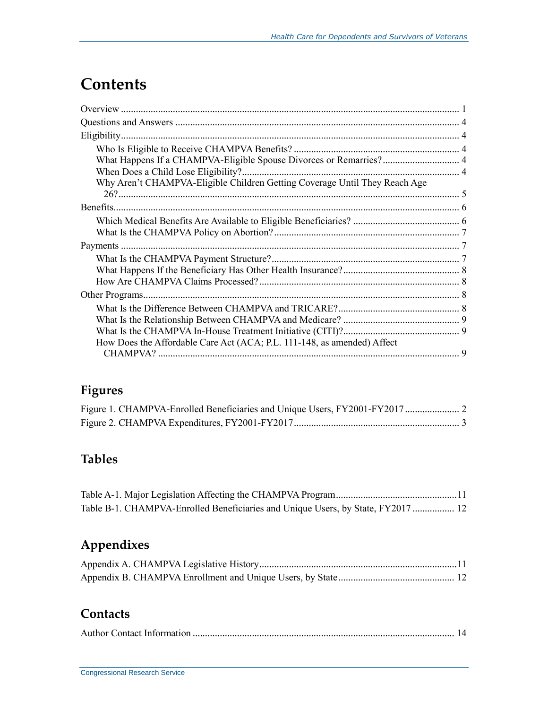## **Contents**

| What Happens If a CHAMPVA-Eligible Spouse Divorces or Remarries? 4         |  |
|----------------------------------------------------------------------------|--|
|                                                                            |  |
| Why Aren't CHAMPVA-Eligible Children Getting Coverage Until They Reach Age |  |
|                                                                            |  |
|                                                                            |  |
|                                                                            |  |
|                                                                            |  |
|                                                                            |  |
|                                                                            |  |
|                                                                            |  |
|                                                                            |  |
|                                                                            |  |
|                                                                            |  |
|                                                                            |  |
|                                                                            |  |
| How Does the Affordable Care Act (ACA; P.L. 111-148, as amended) Affect    |  |
|                                                                            |  |

## **Figures**

## **Tables**

| Table B-1. CHAMPVA-Enrolled Beneficiaries and Unique Users, by State, FY2017  12 |  |
|----------------------------------------------------------------------------------|--|

## **Appendixes**

### **Contacts**

|--|--|--|--|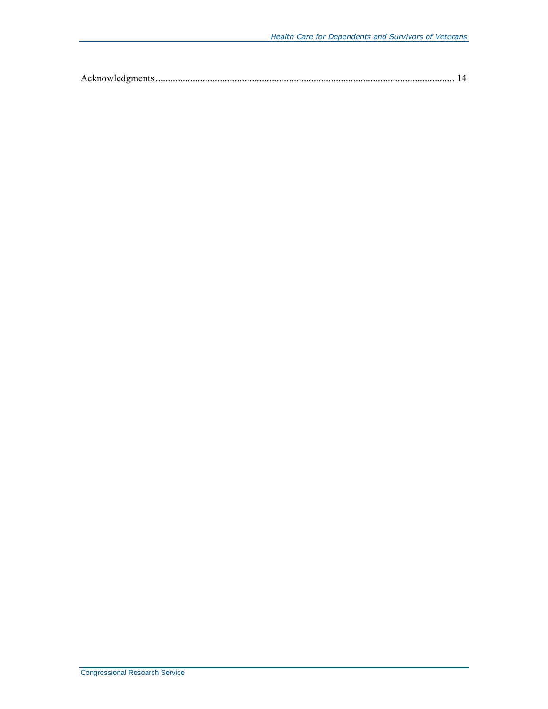|--|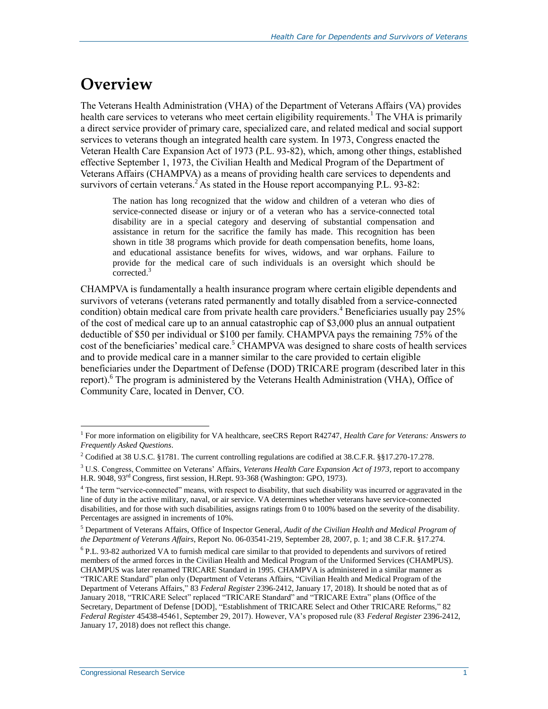## **Overview**

The Veterans Health Administration (VHA) of the Department of Veterans Affairs (VA) provides health care services to veterans who meet certain eligibility requirements.<sup>1</sup> The VHA is primarily a direct service provider of primary care, specialized care, and related medical and social support services to veterans though an integrated health care system. In 1973, Congress enacted the Veteran Health Care Expansion Act of 1973 (P.L. 93-82), which, among other things, established effective September 1, 1973, the Civilian Health and Medical Program of the Department of Veterans Affairs (CHAMPVA) as a means of providing health care services to dependents and survivors of certain veterans.<sup>2</sup> As stated in the House report accompanying P.L. 93-82:

The nation has long recognized that the widow and children of a veteran who dies of service-connected disease or injury or of a veteran who has a service-connected total disability are in a special category and deserving of substantial compensation and assistance in return for the sacrifice the family has made. This recognition has been shown in title 38 programs which provide for death compensation benefits, home loans, and educational assistance benefits for wives, widows, and war orphans. Failure to provide for the medical care of such individuals is an oversight which should be corrected.<sup>3</sup>

CHAMPVA is fundamentally a health insurance program where certain eligible dependents and survivors of veterans (veterans rated permanently and totally disabled from a service-connected condition) obtain medical care from private health care providers.<sup>4</sup> Beneficiaries usually pay  $25\%$ of the cost of medical care up to an annual catastrophic cap of \$3,000 plus an annual outpatient deductible of \$50 per individual or \$100 per family. CHAMPVA pays the remaining 75% of the cost of the beneficiaries' medical care.<sup>5</sup> CHAMPVA was designed to share costs of health services and to provide medical care in a manner similar to the care provided to certain eligible beneficiaries under the Department of Defense (DOD) TRICARE program (described later in this report).<sup>6</sup> The program is administered by the Veterans Health Administration (VHA), Office of Community Care, located in Denver, CO.

<sup>6</sup> P.L. 93-82 authorized VA to furnish medical care similar to that provided to dependents and survivors of retired members of the armed forces in the Civilian Health and Medical Program of the Uniformed Services (CHAMPUS). CHAMPUS was later renamed TRICARE Standard in 1995. CHAMPVA is administered in a similar manner as "TRICARE Standard" plan only (Department of Veterans Affairs, "Civilian Health and Medical Program of the Department of Veterans Affairs," 83 *Federal Register* 2396-2412, January 17, 2018). It should be noted that as of January 2018, "TRICARE Select" replaced "TRICARE Standard" and "TRICARE Extra" plans (Office of the Secretary, Department of Defense [DOD], "Establishment of TRICARE Select and Other TRICARE Reforms," 82 *Federal Register* 45438-45461, September 29, 2017). However, VA's proposed rule (83 *Federal Register* 2396-2412, January 17, 2018) does not reflect this change.

 $\overline{a}$ <sup>1</sup> For more information on eligibility for VA healthcare, seeCRS Report R42747, *Health Care for Veterans: Answers to Frequently Asked Questions*.

<sup>2</sup> Codified at 38 U.S.C. §1781. The current controlling regulations are codified at 38.C.F.R. §§17.270-17.278.

<sup>3</sup> U.S. Congress, Committee on Veterans' Affairs, *Veterans Health Care Expansion Act of 1973*, report to accompany H.R. 9048, 93rd Congress, first session, H.Rept. 93-368 (Washington: GPO, 1973).

<sup>&</sup>lt;sup>4</sup> The term "service-connected" means, with respect to disability, that such disability was incurred or aggravated in the line of duty in the active military, naval, or air service. VA determines whether veterans have service-connected disabilities, and for those with such disabilities, assigns ratings from 0 to 100% based on the severity of the disability. Percentages are assigned in increments of 10%.

<sup>5</sup> Department of Veterans Affairs, Office of Inspector General, *Audit of the Civilian Health and Medical Program of the Department of Veterans Affairs*, Report No. 06-03541-219, September 28, 2007, p. 1; and 38 C.F.R. §17.274.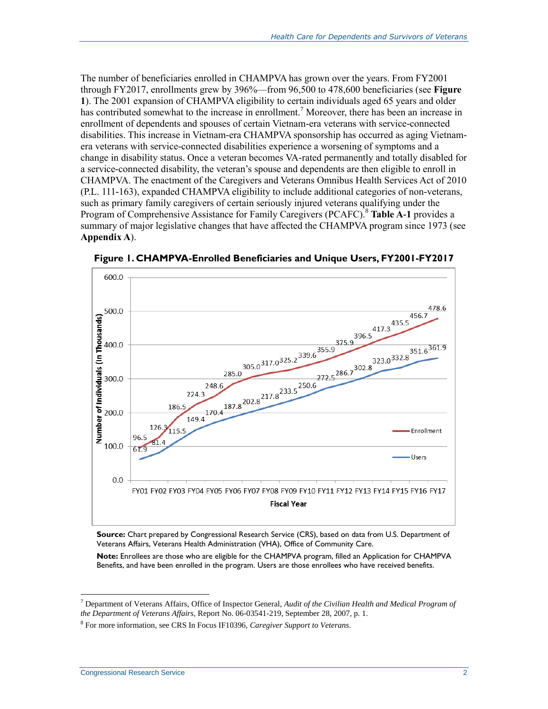The number of beneficiaries enrolled in CHAMPVA has grown over the years. From FY2001 through FY2017, enrollments grew by 396%—from 96,500 to 478,600 beneficiaries (see **[Figure](#page-5-0)  [1](#page-5-0)**). The 2001 expansion of CHAMPVA eligibility to certain individuals aged 65 years and older has contributed somewhat to the increase in enrollment.<sup>7</sup> Moreover, there has been an increase in enrollment of dependents and spouses of certain Vietnam-era veterans with service-connected disabilities. This increase in Vietnam-era CHAMPVA sponsorship has occurred as aging Vietnamera veterans with service-connected disabilities experience a worsening of symptoms and a change in disability status. Once a veteran becomes VA-rated permanently and totally disabled for a service-connected disability, the veteran's spouse and dependents are then eligible to enroll in CHAMPVA. The enactment of the Caregivers and Veterans Omnibus Health Services Act of 2010 (P.L. 111-163), expanded CHAMPVA eligibility to include additional categories of non-veterans, such as primary family caregivers of certain seriously injured veterans qualifying under the Program of Comprehensive Assistance for Family Caregivers (PCAFC).<sup>8</sup> [Table A](#page-14-0)-1 provides a summary of major legislative changes that have affected the CHAMPVA program since 1973 (see **[Appendix A](#page-14-1)**).



<span id="page-5-0"></span>**Figure 1. CHAMPVA-Enrolled Beneficiaries and Unique Users, FY2001-FY2017**

**Source:** Chart prepared by Congressional Research Service (CRS), based on data from U.S. Department of Veterans Affairs, Veterans Health Administration (VHA), Office of Community Care.

**Note:** Enrollees are those who are eligible for the CHAMPVA program, filled an Application for CHAMPVA Benefits, and have been enrolled in the program. Users are those enrollees who have received benefits.

<sup>7</sup> Department of Veterans Affairs, Office of Inspector General, *Audit of the Civilian Health and Medical Program of the Department of Veterans Affairs*, Report No. 06-03541-219, September 28, 2007, p. 1.

<sup>8</sup> For more information, see CRS In Focus IF10396, *Caregiver Support to Veterans*.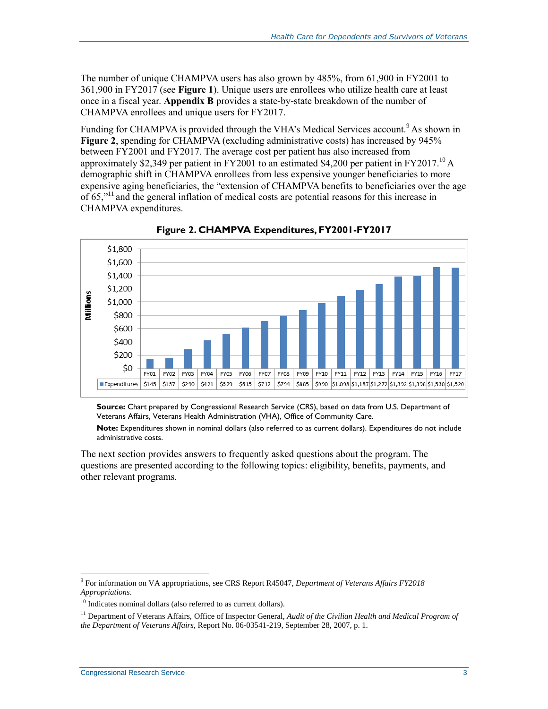The number of unique CHAMPVA users has also grown by 485%, from 61,900 in FY2001 to 361,900 in FY2017 (see **[Figure 1](#page-5-0)**). Unique users are enrollees who utilize health care at least once in a fiscal year. **[Appendix B](#page-15-0)** provides a state-by-state breakdown of the number of CHAMPVA enrollees and unique users for FY2017.

Funding for CHAMPVA is provided through the VHA's Medical Services account.<sup>9</sup> As shown in **[Figure 2](#page-6-0)**, spending for CHAMPVA (excluding administrative costs) has increased by 945% between FY2001 and FY2017. The average cost per patient has also increased from approximately \$2,349 per patient in FY2001 to an estimated \$4,200 per patient in FY2017.<sup>10</sup> A demographic shift in CHAMPVA enrollees from less expensive younger beneficiaries to more expensive aging beneficiaries, the "extension of CHAMPVA benefits to beneficiaries over the age of  $65$ ,"<sup>11</sup> and the general inflation of medical costs are potential reasons for this increase in CHAMPVA expenditures.

<span id="page-6-0"></span>

**Figure 2. CHAMPVA Expenditures, FY2001-FY2017**

**Source:** Chart prepared by Congressional Research Service (CRS), based on data from U.S. Department of Veterans Affairs, Veterans Health Administration (VHA), Office of Community Care.

**Note:** Expenditures shown in nominal dollars (also referred to as current dollars). Expenditures do not include administrative costs.

The next section provides answers to frequently asked questions about the program. The questions are presented according to the following topics: eligibility, benefits, payments, and other relevant programs.

<sup>9</sup> For information on VA appropriations, see CRS Report R45047, *Department of Veterans Affairs FY2018 Appropriations*.

<sup>&</sup>lt;sup>10</sup> Indicates nominal dollars (also referred to as current dollars).

<sup>&</sup>lt;sup>11</sup> Department of Veterans Affairs, Office of Inspector General, *Audit of the Civilian Health and Medical Program of the Department of Veterans Affairs*, Report No. 06-03541-219, September 28, 2007, p. 1.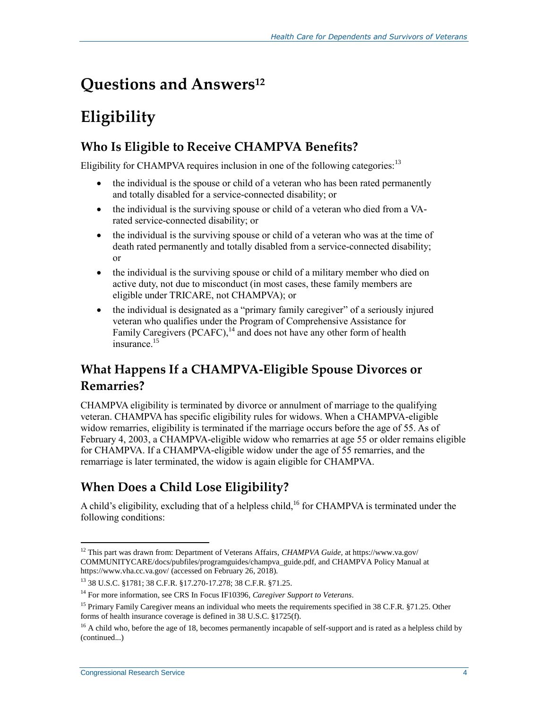## **Questions and Answers<sup>12</sup>**

## **Eligibility**

## **Who Is Eligible to Receive CHAMPVA Benefits?**

Eligibility for CHAMPVA requires inclusion in one of the following categories:  $13$ 

- the individual is the spouse or child of a veteran who has been rated permanently and totally disabled for a service-connected disability; or
- the individual is the surviving spouse or child of a veteran who died from a VArated service-connected disability; or
- the individual is the surviving spouse or child of a veteran who was at the time of death rated permanently and totally disabled from a service-connected disability; or
- the individual is the surviving spouse or child of a military member who died on active duty, not due to misconduct (in most cases, these family members are eligible under TRICARE, not CHAMPVA); or
- the individual is designated as a "primary family caregiver" of a seriously injured veteran who qualifies under the Program of Comprehensive Assistance for Family Caregivers (PCAFC),  $^{14}$  and does not have any other form of health insurance. 15

## **What Happens If a CHAMPVA-Eligible Spouse Divorces or Remarries?**

CHAMPVA eligibility is terminated by divorce or annulment of marriage to the qualifying veteran. CHAMPVA has specific eligibility rules for widows. When a CHAMPVA-eligible widow remarries, eligibility is terminated if the marriage occurs before the age of 55. As of February 4, 2003, a CHAMPVA-eligible widow who remarries at age 55 or older remains eligible for CHAMPVA. If a CHAMPVA-eligible widow under the age of 55 remarries, and the remarriage is later terminated, the widow is again eligible for CHAMPVA.

## **When Does a Child Lose Eligibility?**

A child's eligibility, excluding that of a helpless child,<sup>16</sup> for CHAMPVA is terminated under the following conditions:

 $\overline{a}$ <sup>12</sup> This part was drawn from: Department of Veterans Affairs, *CHAMPVA Guide,* at https://www.va.gov/ COMMUNITYCARE/docs/pubfiles/programguides/champva\_guide.pdf, and CHAMPVA Policy Manual at https://www.vha.cc.va.gov/ (accessed on February 26, 2018).

<sup>13</sup> 38 U.S.C. §1781; 38 C.F.R. §17.270-17.278; 38 C.F.R. §71.25.

<sup>14</sup> For more information, see CRS In Focus IF10396, *Caregiver Support to Veterans*.

<sup>&</sup>lt;sup>15</sup> Primary Family Caregiver means an individual who meets the requirements specified in 38 C.F.R. §71.25. Other forms of health insurance coverage is defined in 38 U.S.C. §1725(f).

 $16$  A child who, before the age of 18, becomes permanently incapable of self-support and is rated as a helpless child by (continued...)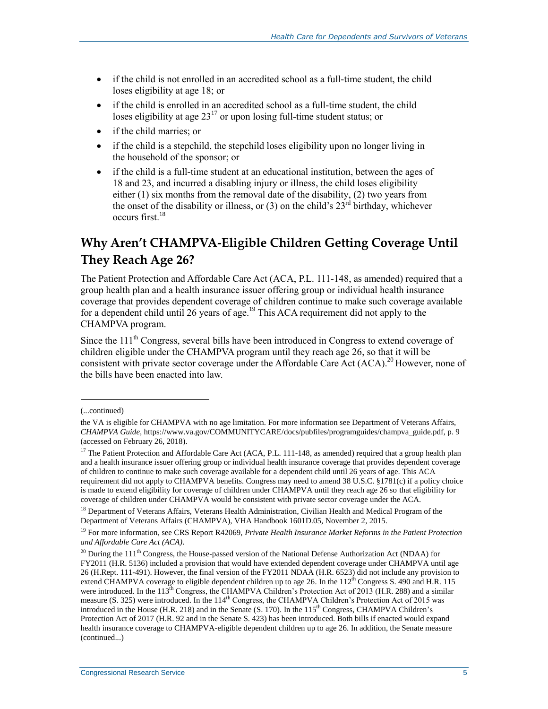- if the child is not enrolled in an accredited school as a full-time student, the child loses eligibility at age 18; or
- if the child is enrolled in an accredited school as a full-time student, the child loses eligibility at age  $23^{17}$  or upon losing full-time student status; or
- if the child marries; or
- if the child is a stepchild, the stepchild loses eligibility upon no longer living in the household of the sponsor; or
- if the child is a full-time student at an educational institution, between the ages of 18 and 23, and incurred a disabling injury or illness, the child loses eligibility either (1) six months from the removal date of the disability, (2) two years from the onset of the disability or illness, or  $(3)$  on the child's  $23<sup>rd</sup>$  birthday, whichever occurs first.<sup>18</sup>

## **Why Aren't CHAMPVA-Eligible Children Getting Coverage Until They Reach Age 26?**

The Patient Protection and Affordable Care Act (ACA, P.L. 111-148, as amended) required that a group health plan and a health insurance issuer offering group or individual health insurance coverage that provides dependent coverage of children continue to make such coverage available for a dependent child until 26 years of age.<sup>19</sup> This ACA requirement did not apply to the CHAMPVA program.

Since the 111<sup>th</sup> Congress, several bills have been introduced in Congress to extend coverage of children eligible under the CHAMPVA program until they reach age 26, so that it will be consistent with private sector coverage under the Affordable Care Act (ACA).<sup>20</sup> However, none of the bills have been enacted into law.

l

<sup>(...</sup>continued)

the VA is eligible for CHAMPVA with no age limitation. For more information see Department of Veterans Affairs, *CHAMPVA Guide,* https://www.va.gov/COMMUNITYCARE/docs/pubfiles/programguides/champva\_guide.pdf, p. 9 (accessed on February 26, 2018).

<sup>&</sup>lt;sup>17</sup> The Patient Protection and Affordable Care Act (ACA, P.L. 111-148, as amended) required that a group health plan and a health insurance issuer offering group or individual health insurance coverage that provides dependent coverage of children to continue to make such coverage available for a dependent child until 26 years of age. This ACA requirement did not apply to CHAMPVA benefits. Congress may need to amend 38 U.S.C. §1781(c) if a policy choice is made to extend eligibility for coverage of children under CHAMPVA until they reach age 26 so that eligibility for coverage of children under CHAMPVA would be consistent with private sector coverage under the ACA.

<sup>&</sup>lt;sup>18</sup> Department of Veterans Affairs, Veterans Health Administration, Civilian Health and Medical Program of the Department of Veterans Affairs (CHAMPVA), VHA Handbook 1601D.05, November 2, 2015.

<sup>19</sup> For more information, see CRS Report R42069, *Private Health Insurance Market Reforms in the Patient Protection and Affordable Care Act (ACA)*.

 $^{20}$  During the 111<sup>th</sup> Congress, the House-passed version of the National Defense Authorization Act (NDAA) for FY2011 (H.R. 5136) included a provision that would have extended dependent coverage under CHAMPVA until age 26 (H.Rept. 111-491). However, the final version of the FY2011 NDAA (H.R. 6523) did not include any provision to extend CHAMPVA coverage to eligible dependent children up to age 26. In the 112<sup>th</sup> Congress S. 490 and H.R. 115 were introduced. In the  $113^{\text{th}}$  Congress, the CHAMPVA Children's Protection Act of 2013 (H.R. 288) and a similar measure (S. 325) were introduced. In the 114<sup>th</sup> Congress, the CHAMPVA Children's Protection Act of 2015 was introduced in the House  $(H.R. 218)$  and in the Senate  $(S. 170)$ . In the  $115<sup>th</sup>$  Congress, CHAMPVA Children's Protection Act of 2017 (H.R. 92 and in the Senate S. 423) has been introduced. Both bills if enacted would expand health insurance coverage to CHAMPVA-eligible dependent children up to age 26. In addition, the Senate measure (continued...)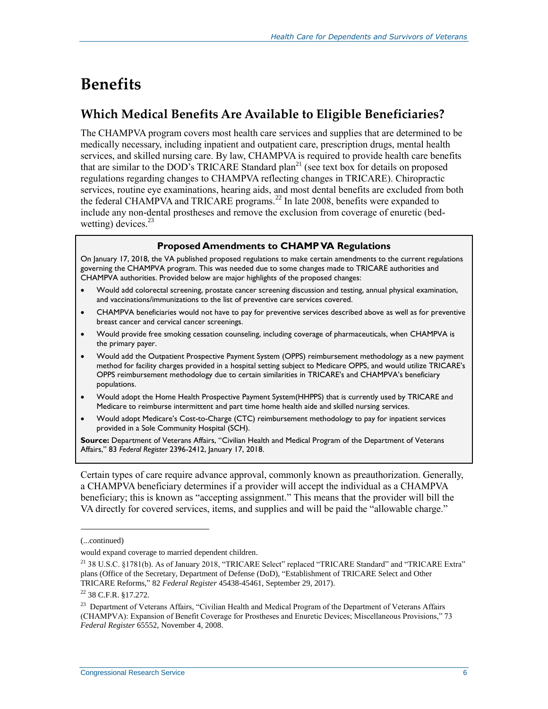## **Benefits**

## **Which Medical Benefits Are Available to Eligible Beneficiaries?**

The CHAMPVA program covers most health care services and supplies that are determined to be medically necessary, including inpatient and outpatient care, prescription drugs, mental health services, and skilled nursing care. By law, CHAMPVA is required to provide health care benefits that are similar to the DOD's TRICARE Standard plan<sup>21</sup> (see text box for details on proposed regulations regarding changes to CHAMPVA reflecting changes in TRICARE). Chiropractic services, routine eye examinations, hearing aids, and most dental benefits are excluded from both the federal CHAMPVA and TRICARE programs.<sup>22</sup> In late 2008, benefits were expanded to include any non-dental prostheses and remove the exclusion from coverage of enuretic (bedwetting) devices. $^{23}$ 

#### **Proposed Amendments to CHAMP VA Regulations**

On January 17, 2018, the VA published proposed regulations to make certain amendments to the current regulations governing the CHAMPVA program. This was needed due to some changes made to TRICARE authorities and CHAMPVA authorities. Provided below are major highlights of the proposed changes:

- Would add colorectal screening, prostate cancer screening discussion and testing, annual physical examination, and vaccinations/immunizations to the list of preventive care services covered.
- CHAMPVA beneficiaries would not have to pay for preventive services described above as well as for preventive breast cancer and cervical cancer screenings.
- Would provide free smoking cessation counseling, including coverage of pharmaceuticals, when CHAMPVA is the primary payer.
- Would add the Outpatient Prospective Payment System (OPPS) reimbursement methodology as a new payment method for facility charges provided in a hospital setting subject to Medicare OPPS, and would utilize TRICARE's OPPS reimbursement methodology due to certain similarities in TRICARE's and CHAMPVA's beneficiary populations.
- Would adopt the Home Health Prospective Payment System(HHPPS) that is currently used by TRICARE and Medicare to reimburse intermittent and part time home health aide and skilled nursing services.
- Would adopt Medicare's Cost-to-Charge (CTC) reimbursement methodology to pay for inpatient services provided in a Sole Community Hospital (SCH).

**Source:** Department of Veterans Affairs, "Civilian Health and Medical Program of the Department of Veterans Affairs," 83 *Federal Register* 2396-2412, January 17, 2018.

Certain types of care require advance approval, commonly known as preauthorization. Generally, a CHAMPVA beneficiary determines if a provider will accept the individual as a CHAMPVA beneficiary; this is known as "accepting assignment." This means that the provider will bill the VA directly for covered services, items, and supplies and will be paid the "allowable charge."

l

<sup>(...</sup>continued)

would expand coverage to married dependent children.

<sup>&</sup>lt;sup>21</sup> 38 U.S.C. §1781(b). As of January 2018, "TRICARE Select" replaced "TRICARE Standard" and "TRICARE Extra" plans (Office of the Secretary, Department of Defense (DoD), "Establishment of TRICARE Select and Other TRICARE Reforms," 82 *Federal Register* 45438-45461, September 29, 2017).

<sup>22</sup> 38 C.F.R. §17.272.

<sup>&</sup>lt;sup>23</sup> Department of Veterans Affairs, "Civilian Health and Medical Program of the Department of Veterans Affairs (CHAMPVA): Expansion of Benefit Coverage for Prostheses and Enuretic Devices; Miscellaneous Provisions," 73 *Federal Register* 65552, November 4, 2008.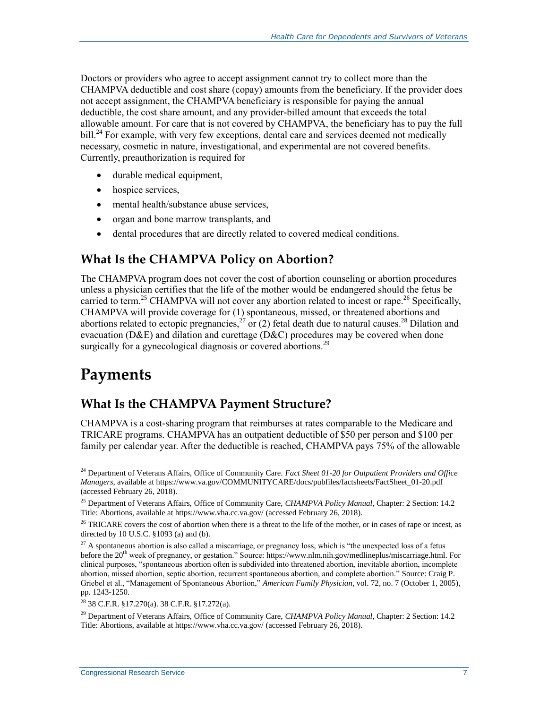Doctors or providers who agree to accept assignment cannot try to collect more than the CHAMPVA deductible and cost share (copay) amounts from the beneficiary. If the provider does not accept assignment, the CHAMPVA beneficiary is responsible for paying the annual deductible, the cost share amount, and any provider-billed amount that exceeds the total allowable amount. For care that is not covered by CHAMPVA, the beneficiary has to pay the full bill.<sup>24</sup> For example, with very few exceptions, dental care and services deemed not medically necessary, cosmetic in nature, investigational, and experimental are not covered benefits. Currently, preauthorization is required for

- durable medical equipment,
- hospice services,
- mental health/substance abuse services,
- organ and bone marrow transplants, and
- dental procedures that are directly related to covered medical conditions.

### **What Is the CHAMPVA Policy on Abortion?**

The CHAMPVA program does not cover the cost of abortion counseling or abortion procedures unless a physician certifies that the life of the mother would be endangered should the fetus be carried to term.<sup>25</sup> CHAMPVA will not cover any abortion related to incest or rape.<sup>26</sup> Specifically, CHAMPVA will provide coverage for (1) spontaneous, missed, or threatened abortions and abortions related to ectopic pregnancies,<sup>27</sup> or (2) fetal death due to natural causes.<sup>28</sup> Dilation and evacuation (D&E) and dilation and curettage (D&C) procedures may be covered when done surgically for a gynecological diagnosis or covered abortions.<sup>29</sup>

## **Payments**

### **What Is the CHAMPVA Payment Structure?**

CHAMPVA is a cost-sharing program that reimburses at rates comparable to the Medicare and TRICARE programs. CHAMPVA has an outpatient deductible of \$50 per person and \$100 per family per calendar year. After the deductible is reached, CHAMPVA pays 75% of the allowable

 $\overline{a}$ <sup>24</sup> Department of Veterans Affairs, Office of Community Care. *Fact Sheet 01-20 for Outpatient Providers and Office Managers*, available at https://www.va.gov/COMMUNITYCARE/docs/pubfiles/factsheets/FactSheet\_01-20.pdf (accessed February 26, 2018).

<sup>25</sup> Department of Veterans Affairs, Office of Community Care, *CHAMPVA Policy Manual,* Chapter: 2 Section: 14.2 Title: Abortions, available at https://www.vha.cc.va.gov/ (accessed February 26, 2018).

<sup>&</sup>lt;sup>26</sup> TRICARE covers the cost of abortion when there is a threat to the life of the mother, or in cases of rape or incest, as directed by 10 U.S.C. §1093 (a) and (b).

 $27$  A spontaneous abortion is also called a miscarriage, or pregnancy loss, which is "the unexpected loss of a fetus before the  $20^{th}$  week of pregnancy, or gestation." Source: https://www.nlm.nih.gov/medlineplus/miscarriage.html. For clinical purposes, "spontaneous abortion often is subdivided into threatened abortion, inevitable abortion, incomplete abortion, missed abortion, septic abortion, recurrent spontaneous abortion, and complete abortion." Source: Craig P. Griebel et al., "Management of Spontaneous Abortion," *American Family Physician*, vol. 72, no. 7 (October 1, 2005), pp. 1243-1250.

<sup>28</sup> 38 C.F.R. §17.270(a). 38 C.F.R. §17.272(a).

<sup>29</sup> Department of Veterans Affairs, Office of Community Care, *CHAMPVA Policy Manual,* Chapter: 2 Section: 14.2 Title: Abortions, available at https://www.vha.cc.va.gov/ (accessed February 26, 2018).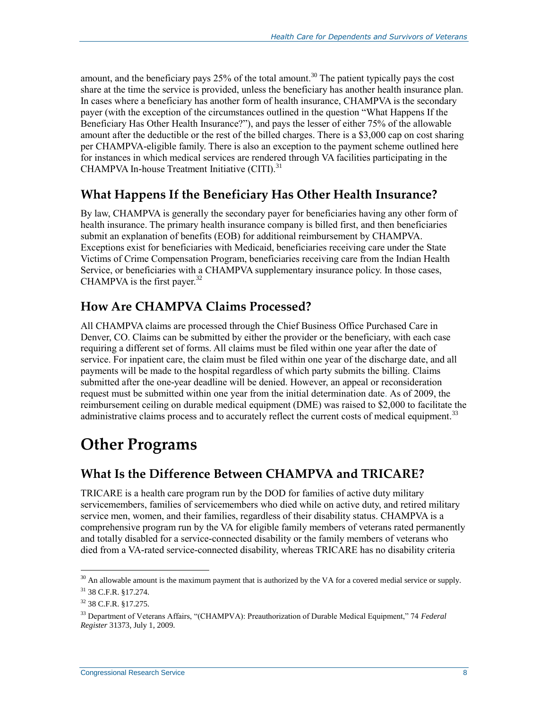amount, and the beneficiary pays  $25\%$  of the total amount.<sup>30</sup> The patient typically pays the cost share at the time the service is provided, unless the beneficiary has another health insurance plan. In cases where a beneficiary has another form of health insurance, CHAMPVA is the secondary payer (with the exception of the circumstances outlined in the question ["What Happens If the](#page-11-0)  [Beneficiary Has Other Health Insurance?"](#page-11-0)), and pays the lesser of either 75% of the allowable amount after the deductible or the rest of the billed charges. There is a \$3,000 cap on cost sharing per CHAMPVA-eligible family. There is also an exception to the payment scheme outlined here for instances in which medical services are rendered through VA facilities participating in the CHAMPVA In-house Treatment Initiative (CITI).<sup>31</sup>

### <span id="page-11-0"></span>**What Happens If the Beneficiary Has Other Health Insurance?**

By law, CHAMPVA is generally the secondary payer for beneficiaries having any other form of health insurance. The primary health insurance company is billed first, and then beneficiaries submit an explanation of benefits (EOB) for additional reimbursement by CHAMPVA. Exceptions exist for beneficiaries with Medicaid, beneficiaries receiving care under the State Victims of Crime Compensation Program, beneficiaries receiving care from the Indian Health Service, or beneficiaries with a CHAMPVA supplementary insurance policy. In those cases, CHAMPVA is the first payer. $32$ 

### **How Are CHAMPVA Claims Processed?**

All CHAMPVA claims are processed through the Chief Business Office Purchased Care in Denver, CO. Claims can be submitted by either the provider or the beneficiary, with each case requiring a different set of forms. All claims must be filed within one year after the date of service. For inpatient care, the claim must be filed within one year of the discharge date, and all payments will be made to the hospital regardless of which party submits the billing. Claims submitted after the one-year deadline will be denied. However, an appeal or reconsideration request must be submitted within one year from the initial determination date. As of 2009, the reimbursement ceiling on durable medical equipment (DME) was raised to \$2,000 to facilitate the administrative claims process and to accurately reflect the current costs of medical equipment.<sup>33</sup>

## **Other Programs**

### **What Is the Difference Between CHAMPVA and TRICARE?**

TRICARE is a health care program run by the DOD for families of active duty military servicemembers, families of servicemembers who died while on active duty, and retired military service men, women, and their families, regardless of their disability status. CHAMPVA is a comprehensive program run by the VA for eligible family members of veterans rated permanently and totally disabled for a service-connected disability or the family members of veterans who died from a VA-rated service-connected disability, whereas TRICARE has no disability criteria

 $30$  An allowable amount is the maximum payment that is authorized by the VA for a covered medial service or supply. <sup>31</sup> 38 C.F.R. §17.274.

<sup>32</sup> 38 C.F.R. §17.275.

<sup>33</sup> Department of Veterans Affairs, "(CHAMPVA): Preauthorization of Durable Medical Equipment," 74 *Federal Register* 31373, July 1, 2009.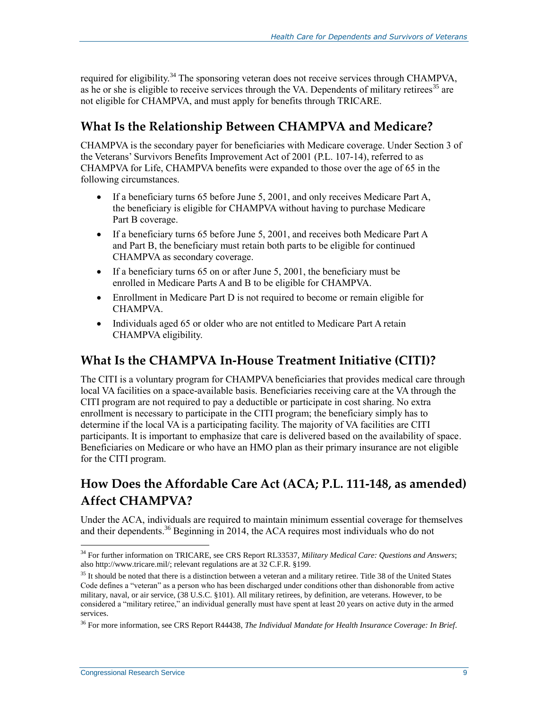required for eligibility.<sup>34</sup> The sponsoring veteran does not receive services through CHAMPVA, as he or she is eligible to receive services through the VA. Dependents of military retirees<sup>35</sup> are not eligible for CHAMPVA, and must apply for benefits through TRICARE.

### **What Is the Relationship Between CHAMPVA and Medicare?**

CHAMPVA is the secondary payer for beneficiaries with Medicare coverage. Under Section 3 of the Veterans' Survivors Benefits Improvement Act of 2001 (P.L. 107-14), referred to as CHAMPVA for Life, CHAMPVA benefits were expanded to those over the age of 65 in the following circumstances.

- If a beneficiary turns 65 before June 5, 2001, and only receives Medicare Part A, the beneficiary is eligible for CHAMPVA without having to purchase Medicare Part B coverage.
- If a beneficiary turns 65 before June 5, 2001, and receives both Medicare Part A and Part B, the beneficiary must retain both parts to be eligible for continued CHAMPVA as secondary coverage.
- If a beneficiary turns  $65$  on or after June 5, 2001, the beneficiary must be enrolled in Medicare Parts A and B to be eligible for CHAMPVA.
- Enrollment in Medicare Part D is not required to become or remain eligible for CHAMPVA.
- Individuals aged 65 or older who are not entitled to Medicare Part A retain CHAMPVA eligibility.

### **What Is the CHAMPVA In-House Treatment Initiative (CITI)?**

The CITI is a voluntary program for CHAMPVA beneficiaries that provides medical care through local VA facilities on a space-available basis. Beneficiaries receiving care at the VA through the CITI program are not required to pay a deductible or participate in cost sharing. No extra enrollment is necessary to participate in the CITI program; the beneficiary simply has to determine if the local VA is a participating facility. The majority of VA facilities are CITI participants. It is important to emphasize that care is delivered based on the availability of space. Beneficiaries on Medicare or who have an HMO plan as their primary insurance are not eligible for the CITI program.

## **How Does the Affordable Care Act (ACA; P.L. 111-148, as amended) Affect CHAMPVA?**

Under the ACA, individuals are required to maintain minimum essential coverage for themselves and their dependents.<sup>36</sup> Beginning in 2014, the ACA requires most individuals who do not

<sup>34</sup> For further information on TRICARE, see CRS Report RL33537, *Military Medical Care: Questions and Answers*; also http://www.tricare.mil/; relevant regulations are at 32 C.F.R. §199.

 $35$  It should be noted that there is a distinction between a veteran and a military retiree. Title 38 of the United States Code defines a "veteran" as a person who has been discharged under conditions other than dishonorable from active military, naval, or air service, (38 U.S.C. §101). All military retirees, by definition, are veterans. However, to be considered a "military retiree," an individual generally must have spent at least 20 years on active duty in the armed services.

<sup>36</sup> For more information, see CRS Report R44438, *The Individual Mandate for Health Insurance Coverage: In Brief*.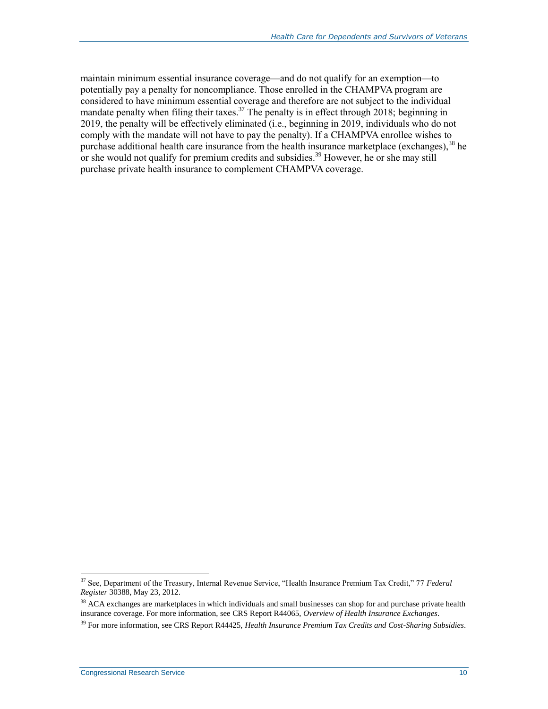maintain minimum essential insurance coverage—and do not qualify for an exemption—to potentially pay a penalty for noncompliance. Those enrolled in the CHAMPVA program are considered to have minimum essential coverage and therefore are not subject to the individual mandate penalty when filing their taxes.<sup>37</sup> The penalty is in effect through 2018; beginning in 2019, the penalty will be effectively eliminated (i.e., beginning in 2019, individuals who do not comply with the mandate will not have to pay the penalty). If a CHAMPVA enrollee wishes to purchase additional health care insurance from the health insurance marketplace (exchanges),  $38$  he or she would not qualify for premium credits and subsidies.<sup>39</sup> However, he or she may still purchase private health insurance to complement CHAMPVA coverage.

<sup>37</sup> See, Department of the Treasury, Internal Revenue Service, "Health Insurance Premium Tax Credit," 77 *Federal Register* 30388, May 23, 2012.

<sup>&</sup>lt;sup>38</sup> ACA exchanges are marketplaces in which individuals and small businesses can shop for and purchase private health insurance coverage. For more information, see CRS Report R44065, *Overview of Health Insurance Exchanges*.

<sup>39</sup> For more information, see CRS Report R44425, *Health Insurance Premium Tax Credits and Cost-Sharing Subsidies*.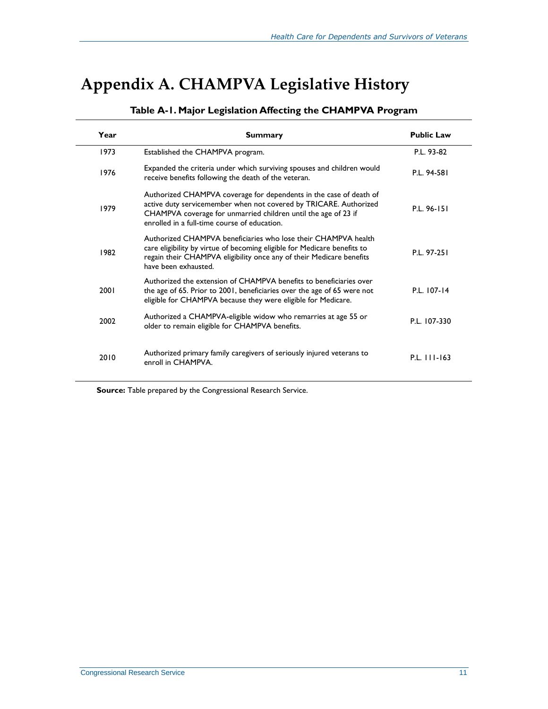## <span id="page-14-1"></span><span id="page-14-0"></span>**Appendix A. CHAMPVA Legislative History**

| Year | <b>Summary</b>                                                                                                                                                                                                                                            | <b>Public Law</b> |
|------|-----------------------------------------------------------------------------------------------------------------------------------------------------------------------------------------------------------------------------------------------------------|-------------------|
| 1973 | Established the CHAMPVA program.                                                                                                                                                                                                                          | P.L. 93-82        |
| 1976 | Expanded the criteria under which surviving spouses and children would<br>receive benefits following the death of the veteran.                                                                                                                            | P.L. 94-581       |
| 1979 | Authorized CHAMPVA coverage for dependents in the case of death of<br>active duty servicemember when not covered by TRICARE. Authorized<br>CHAMPVA coverage for unmarried children until the age of 23 if<br>enrolled in a full-time course of education. | P.L. 96-151       |
| 1982 | Authorized CHAMPVA beneficiaries who lose their CHAMPVA health<br>care eligibility by virtue of becoming eligible for Medicare benefits to<br>regain their CHAMPVA eligibility once any of their Medicare benefits<br>have been exhausted.                | P.L. 97-251       |
| 2001 | Authorized the extension of CHAMPVA benefits to beneficiaries over<br>the age of 65. Prior to 2001, beneficiaries over the age of 65 were not<br>eligible for CHAMPVA because they were eligible for Medicare.                                            | P.L. 107-14       |
| 2002 | Authorized a CHAMPVA-eligible widow who remarries at age 55 or<br>older to remain eligible for CHAMPVA benefits.                                                                                                                                          | P.L. 107-330      |
| 2010 | Authorized primary family caregivers of seriously injured veterans to<br>enroll in CHAMPVA.                                                                                                                                                               | P.L. 111-163      |

#### **Table A-1. Major Legislation Affecting the CHAMPVA Program**

**Source:** Table prepared by the Congressional Research Service.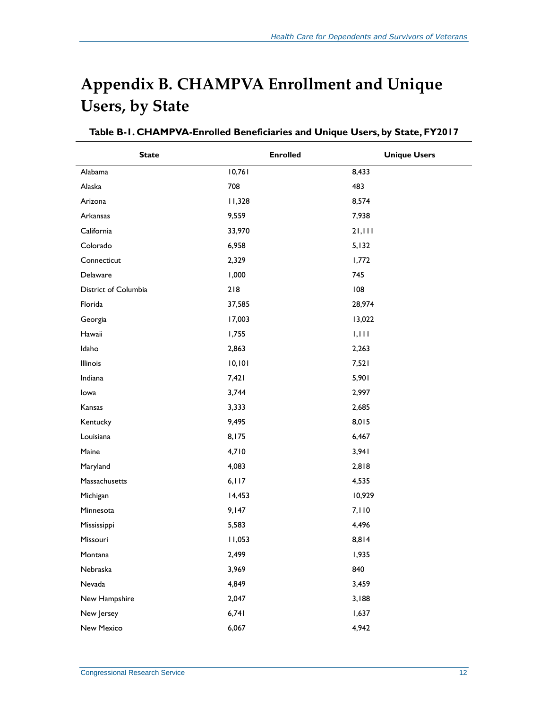## <span id="page-15-0"></span>**Appendix B. CHAMPVA Enrollment and Unique Users, by State**

| <b>State</b>         | <b>Enrolled</b> | <b>Unique Users</b> |
|----------------------|-----------------|---------------------|
| Alabama              | 10,761          | 8,433               |
| Alaska               | 708             | 483                 |
| Arizona              | 11,328          | 8,574               |
| Arkansas             | 9,559           | 7,938               |
| California           | 33,970          | 21,111              |
| Colorado             | 6,958           | 5,132               |
| Connecticut          | 2,329           | 1,772               |
| Delaware             | 1,000           | 745                 |
| District of Columbia | 218             | 108                 |
| Florida              | 37,585          | 28,974              |
| Georgia              | 17,003          | 13,022              |
| Hawaii               | 1,755           | 1,111               |
| Idaho                | 2,863           | 2,263               |
| Illinois             | 10, 101         | 7,521               |
| Indiana              | 7,421           | 5,901               |
| lowa                 | 3,744           | 2,997               |
| Kansas               | 3,333           | 2,685               |
| Kentucky             | 9,495           | 8,015               |
| Louisiana            | 8,175           | 6,467               |
| Maine                | 4,710           | 3,941               |
| Maryland             | 4,083           | 2,818               |
| Massachusetts        | 6, 117          | 4,535               |
| Michigan             | 14,453          | 10,929              |
| Minnesota            | 9,147           | 7,110               |
| Mississippi          | 5,583           | 4,496               |
| Missouri             | 11,053          | 8,814               |
| Montana              | 2,499           | 1,935               |
| Nebraska             | 3,969           | 840                 |
| Nevada               | 4,849           | 3,459               |
| New Hampshire        | 2,047           | 3,188               |
| New Jersey           | 6,741           | 1,637               |
| New Mexico           | 6,067           | 4,942               |

#### **Table B-1. CHAMPVA-Enrolled Beneficiaries and Unique Users, by State, FY2017**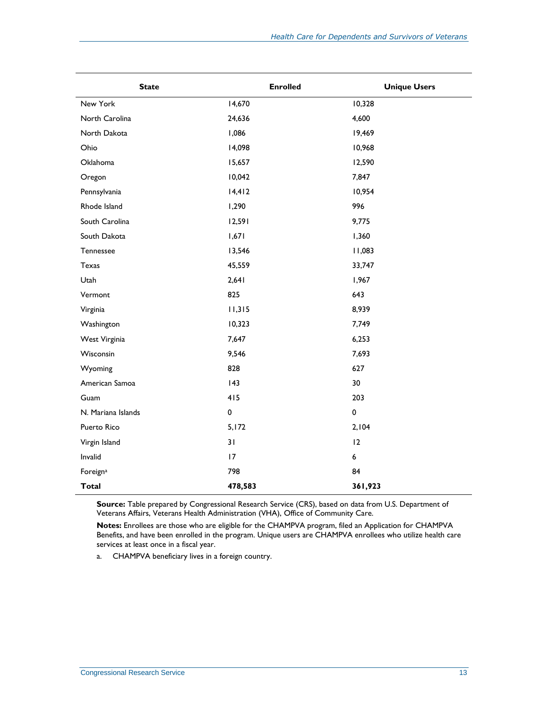| <b>State</b>         | <b>Enrolled</b> | <b>Unique Users</b> |
|----------------------|-----------------|---------------------|
| New York             | 14,670          | 10,328              |
| North Carolina       | 24,636          | 4,600               |
| North Dakota         | 1,086           | 19,469              |
| Ohio                 | 14,098          | 10,968              |
| Oklahoma             | 15,657          | 12,590              |
| Oregon               | 10,042          | 7,847               |
| Pennsylvania         | 14,412          | 10,954              |
| Rhode Island         | 1,290           | 996                 |
| South Carolina       | 12,591          | 9,775               |
| South Dakota         | 1,671           | 1,360               |
| Tennessee            | 13,546          | 11,083              |
| Texas                | 45,559          | 33,747              |
| Utah                 | 2,641           | 1,967               |
| Vermont              | 825             | 643                 |
| Virginia             | 11,315          | 8,939               |
| Washington           | 10,323          | 7,749               |
| West Virginia        | 7,647           | 6,253               |
| Wisconsin            | 9,546           | 7,693               |
| Wyoming              | 828             | 627                 |
| American Samoa       | 143             | 30                  |
| Guam                 | 415             | 203                 |
| N. Mariana Islands   | $\pmb{0}$       | 0                   |
| Puerto Rico          | 5,172           | 2,104               |
| Virgin Island        | 31              | 12                  |
| Invalid              | 17              | 6                   |
| Foreign <sup>a</sup> | 798             | 84                  |
| <b>Total</b>         | 478,583         | 361,923             |

**Source:** Table prepared by Congressional Research Service (CRS), based on data from U.S. Department of Veterans Affairs, Veterans Health Administration (VHA), Office of Community Care.

**Notes:** Enrollees are those who are eligible for the CHAMPVA program, filed an Application for CHAMPVA Benefits, and have been enrolled in the program. Unique users are CHAMPVA enrollees who utilize health care services at least once in a fiscal year.

<span id="page-16-0"></span>a. CHAMPVA beneficiary lives in a foreign country.